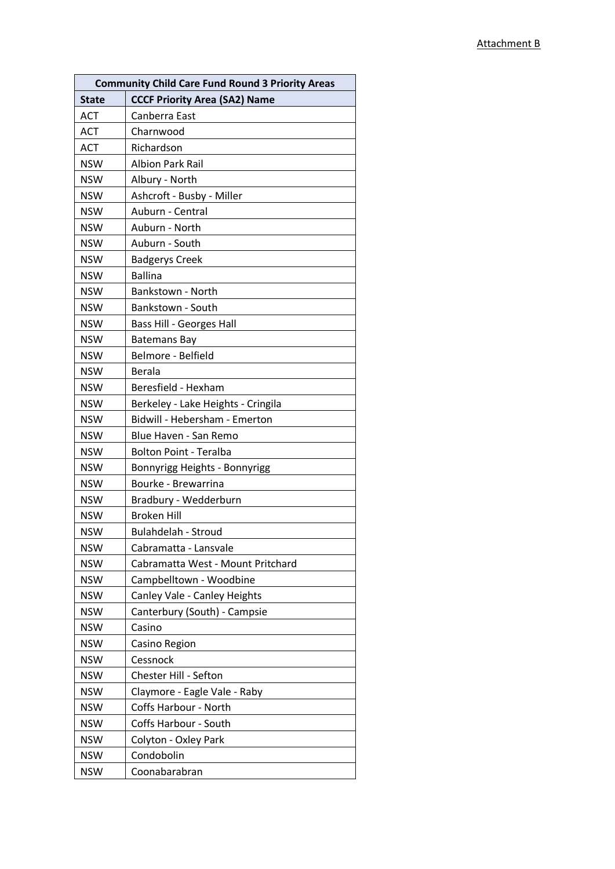| <b>Community Child Care Fund Round 3 Priority Areas</b> |                                      |  |
|---------------------------------------------------------|--------------------------------------|--|
| <b>State</b>                                            | <b>CCCF Priority Area (SA2) Name</b> |  |
| <b>ACT</b>                                              | Canberra East                        |  |
| <b>ACT</b>                                              | Charnwood                            |  |
| <b>ACT</b>                                              | Richardson                           |  |
| <b>NSW</b>                                              | <b>Albion Park Rail</b>              |  |
| <b>NSW</b>                                              | Albury - North                       |  |
| <b>NSW</b>                                              | Ashcroft - Busby - Miller            |  |
| <b>NSW</b>                                              | Auburn - Central                     |  |
| <b>NSW</b>                                              | Auburn - North                       |  |
| <b>NSW</b>                                              | Auburn - South                       |  |
| <b>NSW</b>                                              | <b>Badgerys Creek</b>                |  |
| <b>NSW</b>                                              | <b>Ballina</b>                       |  |
| <b>NSW</b>                                              | Bankstown - North                    |  |
| <b>NSW</b>                                              | Bankstown - South                    |  |
| <b>NSW</b>                                              | <b>Bass Hill - Georges Hall</b>      |  |
| <b>NSW</b>                                              | <b>Batemans Bay</b>                  |  |
| <b>NSW</b>                                              | Belmore - Belfield                   |  |
| <b>NSW</b>                                              | Berala                               |  |
| <b>NSW</b>                                              | Beresfield - Hexham                  |  |
| <b>NSW</b>                                              | Berkeley - Lake Heights - Cringila   |  |
| <b>NSW</b>                                              | Bidwill - Hebersham - Emerton        |  |
| <b>NSW</b>                                              | Blue Haven - San Remo                |  |
| <b>NSW</b>                                              | <b>Bolton Point - Teralba</b>        |  |
| <b>NSW</b>                                              | Bonnyrigg Heights - Bonnyrigg        |  |
| <b>NSW</b>                                              | Bourke - Brewarrina                  |  |
| <b>NSW</b>                                              | Bradbury - Wedderburn                |  |
| <b>NSW</b>                                              | <b>Broken Hill</b>                   |  |
| <b>NSW</b>                                              | <b>Bulahdelah - Stroud</b>           |  |
| <b>NSW</b>                                              | Cabramatta - Lansvale                |  |
| <b>NSW</b>                                              | Cabramatta West - Mount Pritchard    |  |
| <b>NSW</b>                                              | Campbelltown - Woodbine              |  |
| <b>NSW</b>                                              | Canley Vale - Canley Heights         |  |
| <b>NSW</b>                                              | Canterbury (South) - Campsie         |  |
| <b>NSW</b>                                              | Casino                               |  |
| <b>NSW</b>                                              | Casino Region                        |  |
| <b>NSW</b>                                              | Cessnock                             |  |
| <b>NSW</b>                                              | Chester Hill - Sefton                |  |
| <b>NSW</b>                                              | Claymore - Eagle Vale - Raby         |  |
| <b>NSW</b>                                              | Coffs Harbour - North                |  |
| <b>NSW</b>                                              | Coffs Harbour - South                |  |
| <b>NSW</b>                                              | Colyton - Oxley Park                 |  |
| <b>NSW</b>                                              | Condobolin                           |  |
| <b>NSW</b>                                              | Coonabarabran                        |  |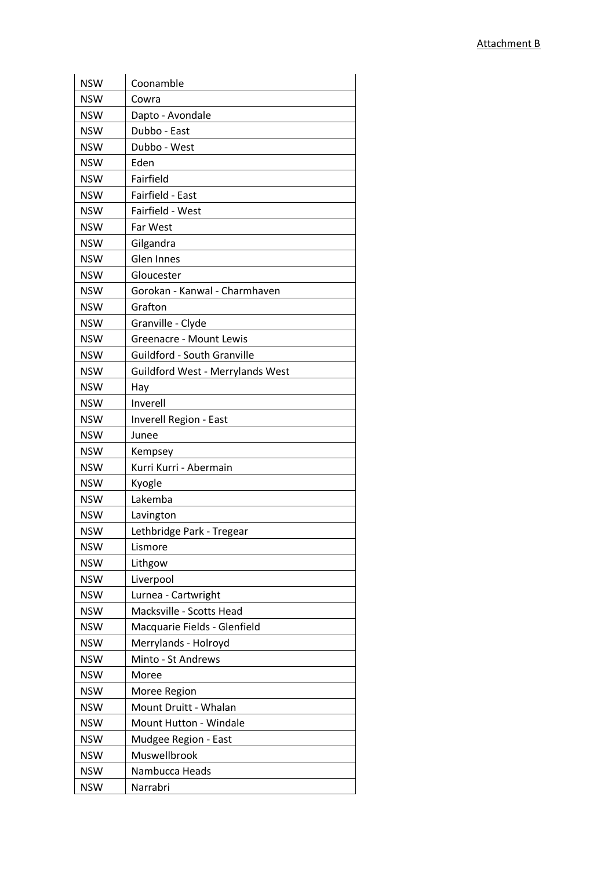| <b>NSW</b> | Coonamble                               |
|------------|-----------------------------------------|
| <b>NSW</b> | Cowra                                   |
| <b>NSW</b> | Dapto - Avondale                        |
| <b>NSW</b> | Dubbo - East                            |
| <b>NSW</b> | Dubbo - West                            |
| <b>NSW</b> | Eden                                    |
| <b>NSW</b> | Fairfield                               |
| <b>NSW</b> | Fairfield - East                        |
| <b>NSW</b> | Fairfield - West                        |
| <b>NSW</b> | Far West                                |
| <b>NSW</b> | Gilgandra                               |
| <b>NSW</b> | Glen Innes                              |
| <b>NSW</b> | Gloucester                              |
| <b>NSW</b> | Gorokan - Kanwal - Charmhaven           |
| <b>NSW</b> | Grafton                                 |
| <b>NSW</b> | Granville - Clyde                       |
| <b>NSW</b> | <b>Greenacre - Mount Lewis</b>          |
| <b>NSW</b> | Guildford - South Granville             |
| <b>NSW</b> | <b>Guildford West - Merrylands West</b> |
| <b>NSW</b> | Hay                                     |
| <b>NSW</b> | Inverell                                |
| <b>NSW</b> | Inverell Region - East                  |
| <b>NSW</b> | Junee                                   |
| <b>NSW</b> | Kempsey                                 |
| <b>NSW</b> | Kurri Kurri - Abermain                  |
| <b>NSW</b> | Kyogle                                  |
| <b>NSW</b> | Lakemba                                 |
| <b>NSW</b> | Lavington                               |
| <b>NSW</b> | Lethbridge Park - Tregear               |
| <b>NSW</b> | Lismore                                 |
| <b>NSW</b> | Lithgow                                 |
| <b>NSW</b> | Liverpool                               |
| <b>NSW</b> | Lurnea - Cartwright                     |
| <b>NSW</b> | Macksville - Scotts Head                |
| <b>NSW</b> | Macquarie Fields - Glenfield            |
| <b>NSW</b> | Merrylands - Holroyd                    |
| <b>NSW</b> | Minto - St Andrews                      |
| <b>NSW</b> | Moree                                   |
| <b>NSW</b> | Moree Region                            |
| <b>NSW</b> | Mount Druitt - Whalan                   |
| <b>NSW</b> | Mount Hutton - Windale                  |
| <b>NSW</b> | Mudgee Region - East                    |
| <b>NSW</b> | Muswellbrook                            |
| <b>NSW</b> | Nambucca Heads                          |
| <b>NSW</b> | Narrabri                                |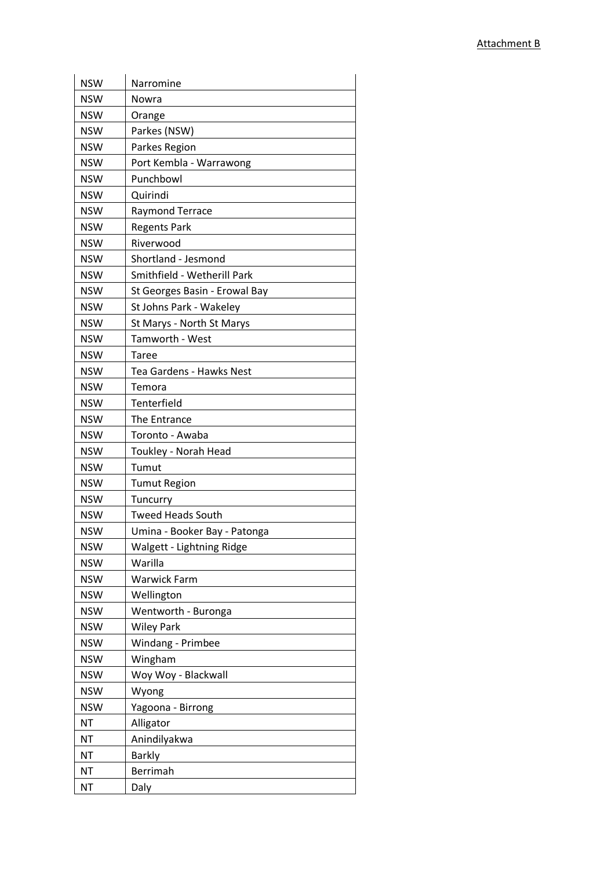| <b>NSW</b> | Narromine                     |
|------------|-------------------------------|
| <b>NSW</b> | Nowra                         |
| <b>NSW</b> | Orange                        |
| <b>NSW</b> | Parkes (NSW)                  |
| <b>NSW</b> | Parkes Region                 |
| <b>NSW</b> | Port Kembla - Warrawong       |
| <b>NSW</b> | Punchbowl                     |
| <b>NSW</b> | Quirindi                      |
| <b>NSW</b> | Raymond Terrace               |
| <b>NSW</b> | <b>Regents Park</b>           |
| <b>NSW</b> | Riverwood                     |
| <b>NSW</b> | Shortland - Jesmond           |
| <b>NSW</b> | Smithfield - Wetherill Park   |
| <b>NSW</b> | St Georges Basin - Erowal Bay |
| <b>NSW</b> | St Johns Park - Wakeley       |
| <b>NSW</b> | St Marys - North St Marys     |
| <b>NSW</b> | Tamworth - West               |
| <b>NSW</b> | Taree                         |
| <b>NSW</b> | Tea Gardens - Hawks Nest      |
| <b>NSW</b> | Temora                        |
| <b>NSW</b> | Tenterfield                   |
| <b>NSW</b> | The Entrance                  |
| <b>NSW</b> | Toronto - Awaba               |
| <b>NSW</b> | Toukley - Norah Head          |
| <b>NSW</b> | Tumut                         |
| <b>NSW</b> | <b>Tumut Region</b>           |
| <b>NSW</b> | Tuncurry                      |
| <b>NSW</b> | <b>Tweed Heads South</b>      |
| <b>NSW</b> | Umina - Booker Bay - Patonga  |
| <b>NSW</b> | Walgett - Lightning Ridge     |
| <b>NSW</b> | Warilla                       |
| <b>NSW</b> | <b>Warwick Farm</b>           |
| <b>NSW</b> | Wellington                    |
| <b>NSW</b> | Wentworth - Buronga           |
| <b>NSW</b> | <b>Wiley Park</b>             |
| <b>NSW</b> | Windang - Primbee             |
| <b>NSW</b> | Wingham                       |
| <b>NSW</b> | Woy Woy - Blackwall           |
| <b>NSW</b> | Wyong                         |
| <b>NSW</b> | Yagoona - Birrong             |
| <b>NT</b>  | Alligator                     |
| <b>NT</b>  | Anindilyakwa                  |
| <b>NT</b>  | <b>Barkly</b>                 |
| <b>NT</b>  | Berrimah                      |
| <b>NT</b>  | Daly                          |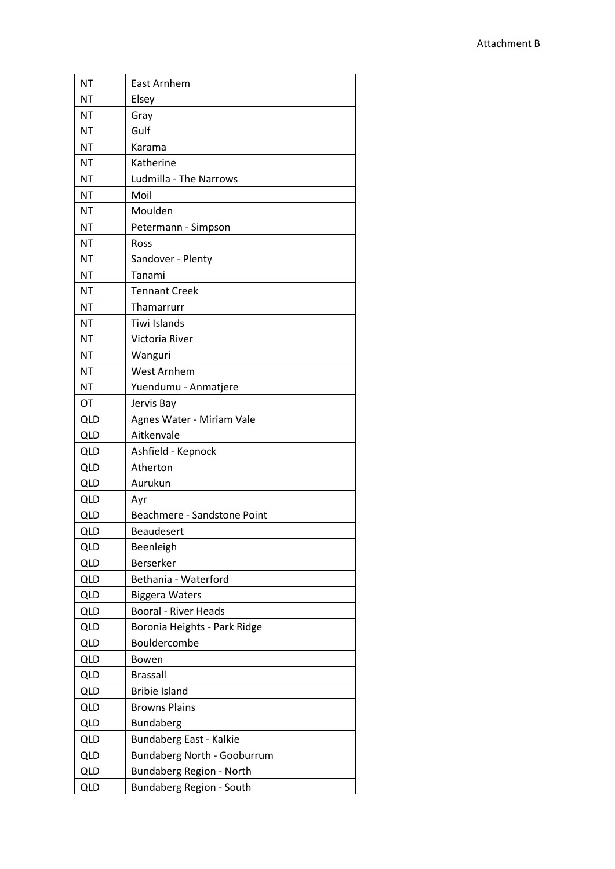| <b>NT</b>  | East Arnhem                        |
|------------|------------------------------------|
| NT         | Elsey                              |
| <b>NT</b>  | Gray                               |
| <b>NT</b>  | Gulf                               |
| NT         | Karama                             |
| <b>NT</b>  | Katherine                          |
| <b>NT</b>  | Ludmilla - The Narrows             |
| <b>NT</b>  | Moil                               |
| <b>NT</b>  | Moulden                            |
| NT         | Petermann - Simpson                |
| <b>NT</b>  | Ross                               |
| <b>NT</b>  | Sandover - Plenty                  |
| <b>NT</b>  | Tanami                             |
| <b>NT</b>  | <b>Tennant Creek</b>               |
| <b>NT</b>  | Thamarrurr                         |
| <b>NT</b>  | Tiwi Islands                       |
| NT         | Victoria River                     |
| <b>NT</b>  | Wanguri                            |
| NT         | <b>West Arnhem</b>                 |
| <b>NT</b>  | Yuendumu - Anmatjere               |
| OT         | Jervis Bay                         |
| <b>QLD</b> | Agnes Water - Miriam Vale          |
| <b>QLD</b> | Aitkenvale                         |
| <b>QLD</b> | Ashfield - Kepnock                 |
| <b>QLD</b> | Atherton                           |
| <b>QLD</b> | Aurukun                            |
| QLD        | Avr                                |
| <b>QLD</b> | Beachmere - Sandstone Point        |
| <b>QLD</b> | Beaudesert                         |
| <b>QLD</b> | Beenleigh                          |
| <b>QLD</b> | Berserker                          |
| <b>QLD</b> | Bethania - Waterford               |
| <b>QLD</b> | <b>Biggera Waters</b>              |
| <b>QLD</b> | <b>Booral - River Heads</b>        |
| QLD        | Boronia Heights - Park Ridge       |
| <b>QLD</b> | Bouldercombe                       |
| <b>QLD</b> | Bowen                              |
| <b>QLD</b> | <b>Brassall</b>                    |
| <b>QLD</b> | <b>Bribie Island</b>               |
| <b>QLD</b> | <b>Browns Plains</b>               |
| <b>QLD</b> | Bundaberg                          |
| QLD        | Bundaberg East - Kalkie            |
| <b>QLD</b> | <b>Bundaberg North - Gooburrum</b> |
| QLD        | Bundaberg Region - North           |
| <b>QLD</b> | Bundaberg Region - South           |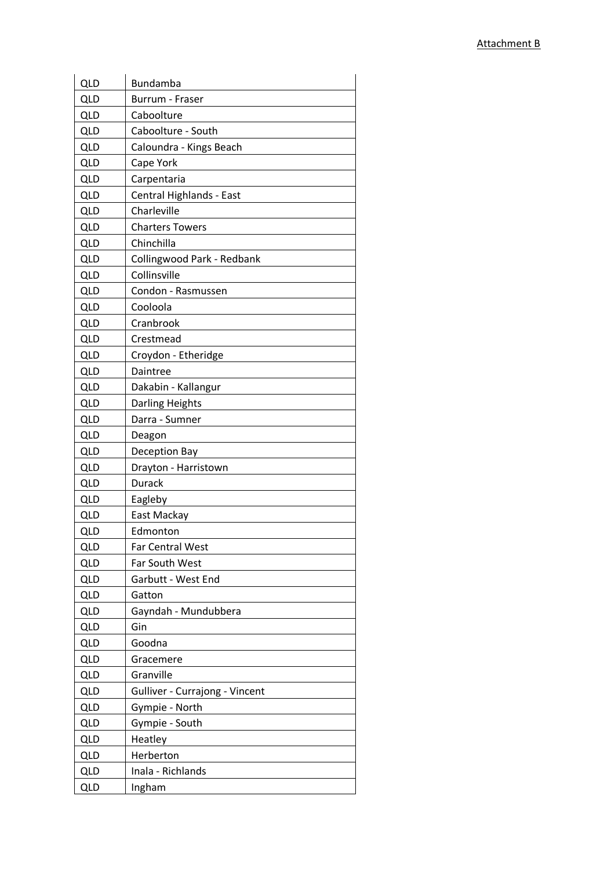| <b>QLD</b> | Bundamba                       |
|------------|--------------------------------|
| QLD        | Burrum - Fraser                |
| <b>QLD</b> | Caboolture                     |
| <b>QLD</b> | Caboolture - South             |
| <b>QLD</b> | Caloundra - Kings Beach        |
| <b>QLD</b> | Cape York                      |
| <b>QLD</b> | Carpentaria                    |
| <b>QLD</b> | Central Highlands - East       |
| <b>QLD</b> | Charleville                    |
| <b>QLD</b> | <b>Charters Towers</b>         |
| <b>QLD</b> | Chinchilla                     |
| <b>QLD</b> | Collingwood Park - Redbank     |
| <b>QLD</b> | Collinsville                   |
| <b>QLD</b> | Condon - Rasmussen             |
| <b>QLD</b> | Cooloola                       |
| <b>QLD</b> | Cranbrook                      |
| QLD        | Crestmead                      |
| <b>QLD</b> | Croydon - Etheridge            |
| <b>QLD</b> | Daintree                       |
| <b>QLD</b> | Dakabin - Kallangur            |
| <b>QLD</b> | Darling Heights                |
| <b>QLD</b> | Darra - Sumner                 |
| <b>QLD</b> | Deagon                         |
| <b>QLD</b> | Deception Bay                  |
| <b>QLD</b> | Drayton - Harristown           |
| QLD        | Durack                         |
| <b>QLD</b> | Eagleby                        |
| QLD        | East Mackay                    |
| <b>QLD</b> | Edmonton                       |
| <b>QLD</b> | <b>Far Central West</b>        |
| <b>QLD</b> | Far South West                 |
| <b>QLD</b> | Garbutt - West End             |
| <b>QLD</b> | Gatton                         |
| <b>QLD</b> | Gayndah - Mundubbera           |
| <b>QLD</b> | Gin                            |
| <b>QLD</b> | Goodna                         |
| <b>QLD</b> | Gracemere                      |
| <b>QLD</b> | Granville                      |
| <b>QLD</b> | Gulliver - Currajong - Vincent |
| <b>QLD</b> | Gympie - North                 |
| <b>QLD</b> | Gympie - South                 |
| <b>QLD</b> | Heatley                        |
| <b>QLD</b> | Herberton                      |
| <b>QLD</b> | Inala - Richlands              |
| QLD        | Ingham                         |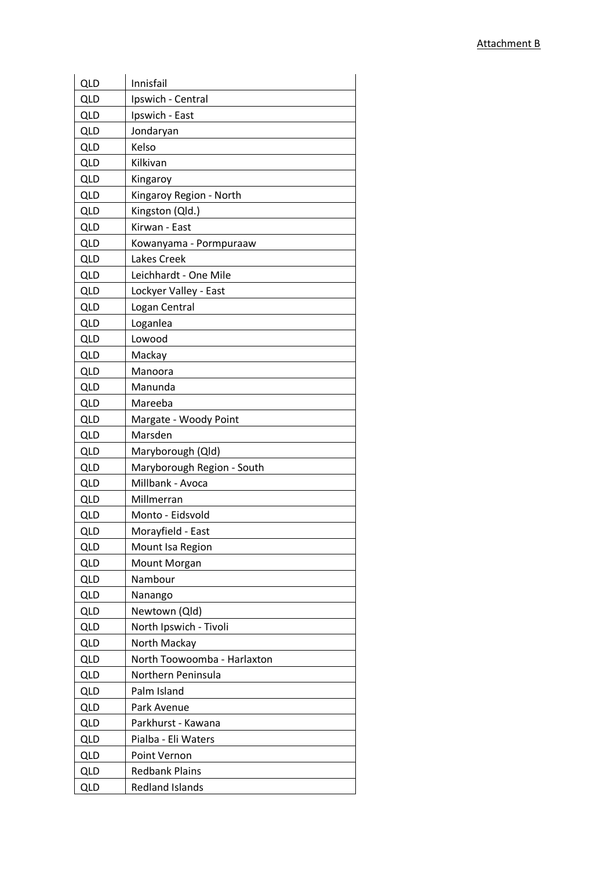| <b>QLD</b><br>Innisfail<br>QLD<br>Ipswich - Central<br><b>QLD</b><br>Ipswich - East<br><b>QLD</b><br>Jondaryan<br>Kelso<br><b>QLD</b><br><b>QLD</b><br>Kilkivan<br>QLD<br>Kingaroy<br><b>QLD</b><br>Kingaroy Region - North<br><b>QLD</b><br>Kingston (Qld.)<br><b>QLD</b><br>Kirwan - East<br><b>QLD</b><br>Kowanyama - Pormpuraaw |
|-------------------------------------------------------------------------------------------------------------------------------------------------------------------------------------------------------------------------------------------------------------------------------------------------------------------------------------|
|                                                                                                                                                                                                                                                                                                                                     |
|                                                                                                                                                                                                                                                                                                                                     |
|                                                                                                                                                                                                                                                                                                                                     |
|                                                                                                                                                                                                                                                                                                                                     |
|                                                                                                                                                                                                                                                                                                                                     |
|                                                                                                                                                                                                                                                                                                                                     |
|                                                                                                                                                                                                                                                                                                                                     |
|                                                                                                                                                                                                                                                                                                                                     |
|                                                                                                                                                                                                                                                                                                                                     |
|                                                                                                                                                                                                                                                                                                                                     |
| <b>QLD</b><br>Lakes Creek                                                                                                                                                                                                                                                                                                           |
| <b>QLD</b><br>Leichhardt - One Mile                                                                                                                                                                                                                                                                                                 |
| <b>QLD</b><br>Lockyer Valley - East                                                                                                                                                                                                                                                                                                 |
| <b>QLD</b><br>Logan Central                                                                                                                                                                                                                                                                                                         |
| <b>QLD</b><br>Loganlea                                                                                                                                                                                                                                                                                                              |
| <b>QLD</b><br>Lowood                                                                                                                                                                                                                                                                                                                |
| <b>QLD</b><br>Mackay                                                                                                                                                                                                                                                                                                                |
| <b>QLD</b><br>Manoora                                                                                                                                                                                                                                                                                                               |
| QLD<br>Manunda                                                                                                                                                                                                                                                                                                                      |
| <b>QLD</b><br>Mareeba                                                                                                                                                                                                                                                                                                               |
| <b>QLD</b><br>Margate - Woody Point                                                                                                                                                                                                                                                                                                 |
| <b>QLD</b><br>Marsden                                                                                                                                                                                                                                                                                                               |
| <b>QLD</b><br>Maryborough (Qld)                                                                                                                                                                                                                                                                                                     |
| Maryborough Region - South<br><b>QLD</b>                                                                                                                                                                                                                                                                                            |
| Millbank - Avoca<br><b>QLD</b>                                                                                                                                                                                                                                                                                                      |
| <b>QLD</b><br>Millmerran                                                                                                                                                                                                                                                                                                            |
| <b>QLD</b><br>Monto - Eidsvold                                                                                                                                                                                                                                                                                                      |
| <b>QLD</b><br>Morayfield - East                                                                                                                                                                                                                                                                                                     |
| <b>QLD</b><br>Mount Isa Region                                                                                                                                                                                                                                                                                                      |
| <b>QLD</b><br>Mount Morgan                                                                                                                                                                                                                                                                                                          |
| <b>QLD</b><br>Nambour                                                                                                                                                                                                                                                                                                               |
| <b>QLD</b><br>Nanango                                                                                                                                                                                                                                                                                                               |
| <b>QLD</b><br>Newtown (Qld)                                                                                                                                                                                                                                                                                                         |
| <b>QLD</b><br>North Ipswich - Tivoli                                                                                                                                                                                                                                                                                                |
| <b>QLD</b><br>North Mackay                                                                                                                                                                                                                                                                                                          |
| <b>QLD</b><br>North Toowoomba - Harlaxton                                                                                                                                                                                                                                                                                           |
| <b>QLD</b><br>Northern Peninsula                                                                                                                                                                                                                                                                                                    |
| <b>QLD</b><br>Palm Island                                                                                                                                                                                                                                                                                                           |
| <b>QLD</b><br>Park Avenue                                                                                                                                                                                                                                                                                                           |
| <b>QLD</b><br>Parkhurst - Kawana                                                                                                                                                                                                                                                                                                    |
| Pialba - Eli Waters<br><b>QLD</b>                                                                                                                                                                                                                                                                                                   |
| <b>QLD</b><br>Point Vernon                                                                                                                                                                                                                                                                                                          |
| <b>Redbank Plains</b><br><b>QLD</b>                                                                                                                                                                                                                                                                                                 |
| QLD<br><b>Redland Islands</b>                                                                                                                                                                                                                                                                                                       |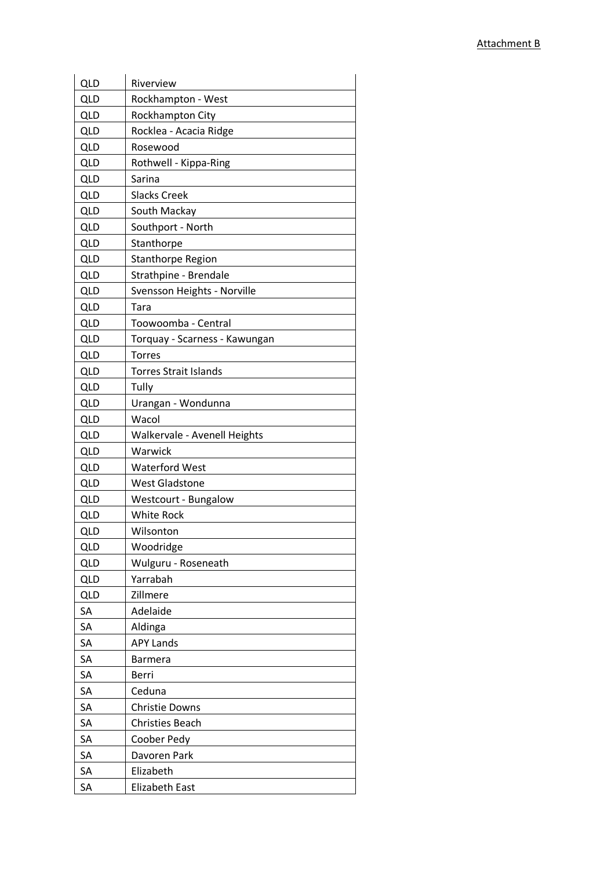| <b>QLD</b> | Riverview                     |
|------------|-------------------------------|
| QLD        | Rockhampton - West            |
| <b>QLD</b> | Rockhampton City              |
| <b>QLD</b> | Rocklea - Acacia Ridge        |
| <b>QLD</b> | Rosewood                      |
| <b>QLD</b> | Rothwell - Kippa-Ring         |
| <b>QLD</b> | Sarina                        |
| <b>QLD</b> | <b>Slacks Creek</b>           |
| <b>QLD</b> | South Mackay                  |
| <b>QLD</b> | Southport - North             |
| <b>QLD</b> | Stanthorpe                    |
| <b>QLD</b> | <b>Stanthorpe Region</b>      |
| <b>QLD</b> | Strathpine - Brendale         |
| <b>QLD</b> | Svensson Heights - Norville   |
| QLD        | Tara                          |
| <b>QLD</b> | Toowoomba - Central           |
| <b>QLD</b> | Torquay - Scarness - Kawungan |
| <b>QLD</b> | <b>Torres</b>                 |
| QLD        | <b>Torres Strait Islands</b>  |
| <b>QLD</b> | Tully                         |
| <b>QLD</b> | Urangan - Wondunna            |
| <b>QLD</b> | Wacol                         |
| <b>QLD</b> | Walkervale - Avenell Heights  |
| <b>QLD</b> | Warwick                       |
| <b>QLD</b> | <b>Waterford West</b>         |
| <b>QLD</b> | <b>West Gladstone</b>         |
| <b>QLD</b> | Westcourt - Bungalow          |
| <b>QLD</b> | <b>White Rock</b>             |
| QLD        | Wilsonton                     |
| <b>QLD</b> | Woodridge                     |
| <b>QLD</b> | Wulguru - Roseneath           |
| <b>QLD</b> | Yarrabah                      |
| <b>QLD</b> | Zillmere                      |
| SA         | Adelaide                      |
| SA         | Aldinga                       |
| SA         | <b>APY Lands</b>              |
| SA         | <b>Barmera</b>                |
| SA         | Berri                         |
| SA         | Ceduna                        |
| SA         | <b>Christie Downs</b>         |
| SA         | <b>Christies Beach</b>        |
| SA         | Coober Pedy                   |
| <b>SA</b>  | Davoren Park                  |
| SA         | Elizabeth                     |
| SA         | <b>Elizabeth East</b>         |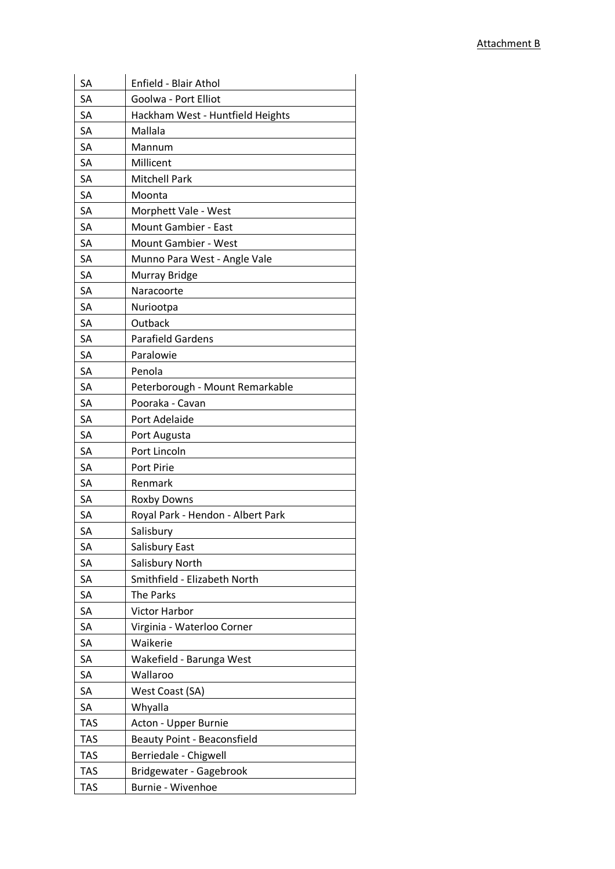| SA         | Enfield - Blair Athol              |
|------------|------------------------------------|
| SA         | Goolwa - Port Elliot               |
| SA         | Hackham West - Huntfield Heights   |
| SA         | Mallala                            |
| <b>SA</b>  | Mannum                             |
| SA         | Millicent                          |
| SA         | Mitchell Park                      |
| SA         | Moonta                             |
| SA         | Morphett Vale - West               |
| SA         | Mount Gambier - East               |
| SA         | <b>Mount Gambier - West</b>        |
| SA         | Munno Para West - Angle Vale       |
| SA         | Murray Bridge                      |
| SA         | Naracoorte                         |
| SA         | Nuriootpa                          |
| SA         | Outback                            |
| <b>SA</b>  | <b>Parafield Gardens</b>           |
| SA         | Paralowie                          |
| SA         | Penola                             |
| SA         | Peterborough - Mount Remarkable    |
| SA         | Pooraka - Cavan                    |
| SA         | Port Adelaide                      |
| <b>SA</b>  | Port Augusta                       |
| SA         | Port Lincoln                       |
| SA         | Port Pirie                         |
| SA         | Renmark                            |
| SA         | <b>Roxby Downs</b>                 |
| SA         | Royal Park - Hendon - Albert Park  |
| <b>SA</b>  | Salisbury                          |
| SA         | Salisbury East                     |
| SA         | Salisbury North                    |
| SA         | Smithfield - Elizabeth North       |
| SA         | The Parks                          |
| SA         | Victor Harbor                      |
| SA         | Virginia - Waterloo Corner         |
| SA         | Waikerie                           |
| SA         | Wakefield - Barunga West           |
| SA         | Wallaroo                           |
| SA         | West Coast (SA)                    |
| SA         | Whyalla                            |
| <b>TAS</b> | Acton - Upper Burnie               |
| <b>TAS</b> | <b>Beauty Point - Beaconsfield</b> |
| <b>TAS</b> | Berriedale - Chigwell              |
| <b>TAS</b> | Bridgewater - Gagebrook            |
| TAS        | Burnie - Wivenhoe                  |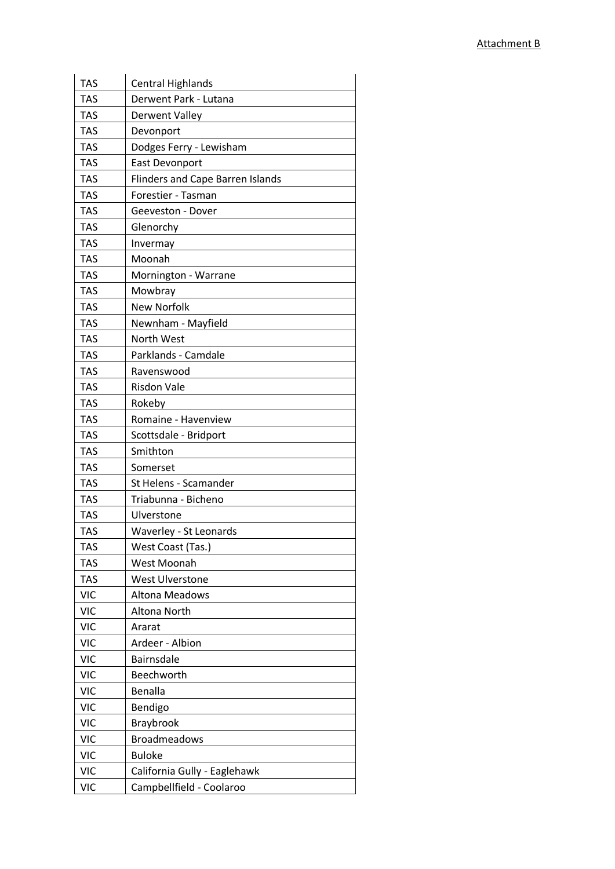| <b>TAS</b> | <b>Central Highlands</b>                |
|------------|-----------------------------------------|
| <b>TAS</b> | Derwent Park - Lutana                   |
| <b>TAS</b> | <b>Derwent Valley</b>                   |
| <b>TAS</b> | Devonport                               |
| <b>TAS</b> | Dodges Ferry - Lewisham                 |
| <b>TAS</b> | <b>East Devonport</b>                   |
| <b>TAS</b> | <b>Flinders and Cape Barren Islands</b> |
| <b>TAS</b> | Forestier - Tasman                      |
| <b>TAS</b> | Geeveston - Dover                       |
| <b>TAS</b> | Glenorchy                               |
| <b>TAS</b> | Invermay                                |
| <b>TAS</b> | Moonah                                  |
| <b>TAS</b> | Mornington - Warrane                    |
| <b>TAS</b> | Mowbray                                 |
| <b>TAS</b> | <b>New Norfolk</b>                      |
| <b>TAS</b> | Newnham - Mayfield                      |
| <b>TAS</b> | North West                              |
| <b>TAS</b> | Parklands - Camdale                     |
| <b>TAS</b> | Ravenswood                              |
| <b>TAS</b> | <b>Risdon Vale</b>                      |
| <b>TAS</b> | Rokeby                                  |
| <b>TAS</b> | Romaine - Havenview                     |
| <b>TAS</b> | Scottsdale - Bridport                   |
| <b>TAS</b> | Smithton                                |
| <b>TAS</b> | Somerset                                |
| <b>TAS</b> | St Helens - Scamander                   |
| <b>TAS</b> | Triabunna - Bicheno                     |
| <b>TAS</b> | Ulverstone                              |
| <b>TAS</b> | Waverley - St Leonards                  |
| <b>TAS</b> | West Coast (Tas.)                       |
| <b>TAS</b> | West Moonah                             |
| <b>TAS</b> | <b>West Ulverstone</b>                  |
| <b>VIC</b> | <b>Altona Meadows</b>                   |
| <b>VIC</b> | Altona North                            |
| <b>VIC</b> | Ararat                                  |
| <b>VIC</b> | Ardeer - Albion                         |
| <b>VIC</b> | <b>Bairnsdale</b>                       |
| <b>VIC</b> | Beechworth                              |
| <b>VIC</b> | Benalla                                 |
| <b>VIC</b> | Bendigo                                 |
| <b>VIC</b> | Braybrook                               |
| <b>VIC</b> | <b>Broadmeadows</b>                     |
| <b>VIC</b> | <b>Buloke</b>                           |
| <b>VIC</b> | California Gully - Eaglehawk            |
| <b>VIC</b> | Campbellfield - Coolaroo                |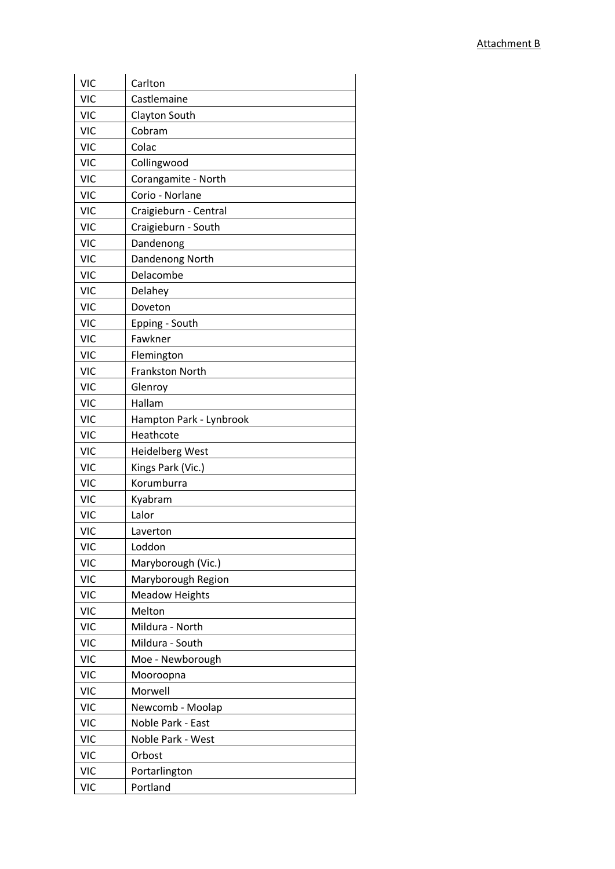| <b>VIC</b> | Carlton                 |
|------------|-------------------------|
| <b>VIC</b> | Castlemaine             |
| <b>VIC</b> | Clayton South           |
| <b>VIC</b> | Cobram                  |
| <b>VIC</b> | Colac                   |
| <b>VIC</b> | Collingwood             |
| <b>VIC</b> | Corangamite - North     |
| <b>VIC</b> | Corio - Norlane         |
| <b>VIC</b> | Craigieburn - Central   |
| <b>VIC</b> | Craigieburn - South     |
| <b>VIC</b> | Dandenong               |
| <b>VIC</b> | Dandenong North         |
| <b>VIC</b> | Delacombe               |
| <b>VIC</b> | Delahey                 |
| <b>VIC</b> | Doveton                 |
| <b>VIC</b> | Epping - South          |
| <b>VIC</b> | Fawkner                 |
| <b>VIC</b> | Flemington              |
| <b>VIC</b> | <b>Frankston North</b>  |
| <b>VIC</b> | Glenroy                 |
| <b>VIC</b> | Hallam                  |
| <b>VIC</b> | Hampton Park - Lynbrook |
| <b>VIC</b> | Heathcote               |
| <b>VIC</b> | <b>Heidelberg West</b>  |
| <b>VIC</b> | Kings Park (Vic.)       |
| <b>VIC</b> | Korumburra              |
| <b>VIC</b> | Kyabram                 |
| <b>VIC</b> | Lalor                   |
| <b>VIC</b> | Laverton                |
| <b>VIC</b> | Loddon                  |
| <b>VIC</b> | Maryborough (Vic.)      |
| <b>VIC</b> | Maryborough Region      |
| <b>VIC</b> | <b>Meadow Heights</b>   |
| <b>VIC</b> | Melton                  |
| <b>VIC</b> | Mildura - North         |
| <b>VIC</b> | Mildura - South         |
| <b>VIC</b> | Moe - Newborough        |
| <b>VIC</b> | Mooroopna               |
| <b>VIC</b> | Morwell                 |
| <b>VIC</b> | Newcomb - Moolap        |
| <b>VIC</b> | Noble Park - East       |
| <b>VIC</b> | Noble Park - West       |
| <b>VIC</b> | Orbost                  |
| <b>VIC</b> | Portarlington           |
| <b>VIC</b> | Portland                |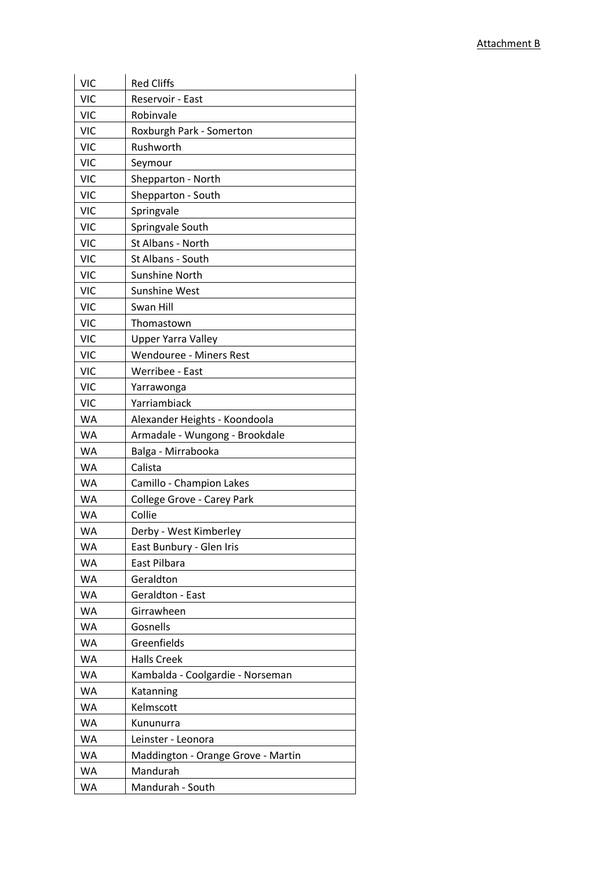| <b>VIC</b> | <b>Red Cliffs</b>                  |
|------------|------------------------------------|
| <b>VIC</b> | Reservoir - East                   |
| <b>VIC</b> | Robinvale                          |
| <b>VIC</b> | Roxburgh Park - Somerton           |
| <b>VIC</b> | Rushworth                          |
| <b>VIC</b> | Seymour                            |
| <b>VIC</b> | Shepparton - North                 |
| <b>VIC</b> | Shepparton - South                 |
| <b>VIC</b> | Springvale                         |
| <b>VIC</b> | Springvale South                   |
| <b>VIC</b> | St Albans - North                  |
| <b>VIC</b> | St Albans - South                  |
| <b>VIC</b> | Sunshine North                     |
| <b>VIC</b> | <b>Sunshine West</b>               |
| <b>VIC</b> | Swan Hill                          |
| <b>VIC</b> | Thomastown                         |
| <b>VIC</b> | <b>Upper Yarra Valley</b>          |
| <b>VIC</b> | <b>Wendouree - Miners Rest</b>     |
| <b>VIC</b> | Werribee - East                    |
| <b>VIC</b> | Yarrawonga                         |
| <b>VIC</b> | Yarriambiack                       |
| WA         | Alexander Heights - Koondoola      |
| WA         | Armadale - Wungong - Brookdale     |
| <b>WA</b>  | Balga - Mirrabooka                 |
| WA         | Calista                            |
| WA         | Camillo - Champion Lakes           |
| WA         | College Grove - Carey Park         |
| WA         | Collie                             |
| <b>WA</b>  | Derby - West Kimberley             |
| <b>WA</b>  | East Bunbury - Glen Iris           |
| WA         | East Pilbara                       |
| WA         | Geraldton                          |
| WA         | Geraldton - East                   |
| WA         | Girrawheen                         |
| WA         | Gosnells                           |
| WA         | Greenfields                        |
| WA         | <b>Halls Creek</b>                 |
| WA         | Kambalda - Coolgardie - Norseman   |
| WA         | Katanning                          |
| WA         | Kelmscott                          |
| WA         | Kununurra                          |
| WA         | Leinster - Leonora                 |
| WA         | Maddington - Orange Grove - Martin |
| WA         | Mandurah                           |
| WA         | Mandurah - South                   |